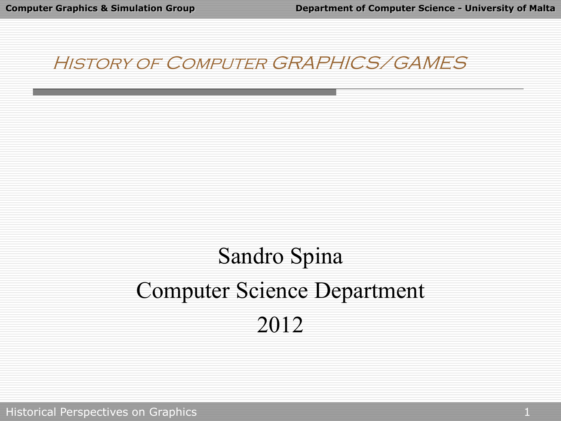#### History of Computer GRAPHICS/GAMES

# Sandro Spina Computer Science Department 2012

Historical Perspectives on Graphics 1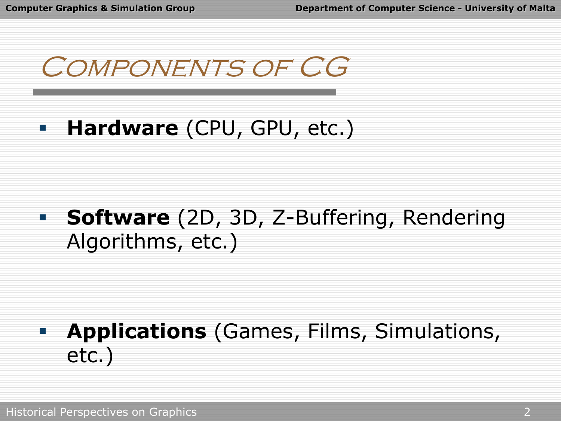Components of CG

#### **Hardware** (CPU, GPU, etc.)

#### **Software** (2D, 3D, Z-Buffering, Rendering Algorithms, etc.)

#### **Applications** (Games, Films, Simulations, etc.)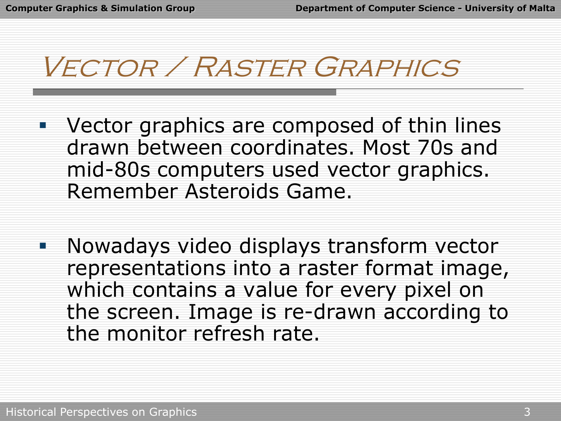## Vector / Raster Graphics

- **U** Vector graphics are composed of thin lines drawn between coordinates. Most 70s and mid-80s computers used vector graphics. Remember Asteroids Game.
- **Nowadays video displays transform vector** representations into a raster format image, which contains a value for every pixel on the screen. Image is re-drawn according to the monitor refresh rate.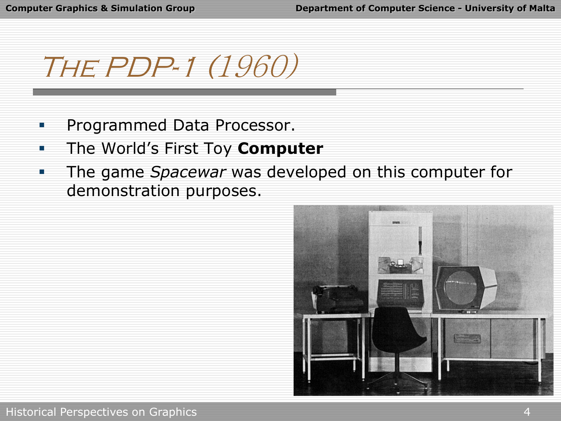The PDP-1 (1960)

- Programmed Data Processor.
- The World's First Toy **Computer**
- **The game** *Spacewar* was developed on this computer for demonstration purposes.

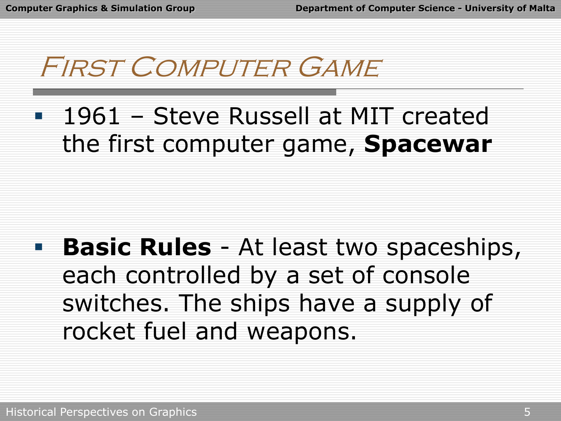First Computer Game

 1961 – Steve Russell at MIT created the first computer game, **Spacewar**

**Basic Rules** - At least two spaceships, each controlled by a set of console switches. The ships have a supply of rocket fuel and weapons.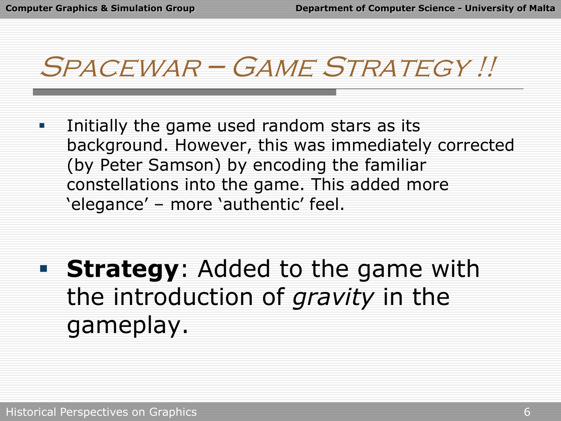## Spacewar – Game Strategy !!

**Initially the game used random stars as its** background. However, this was immediately corrected (by Peter Samson) by encoding the familiar constellations into the game. This added more 'elegance' – more 'authentic' feel.

 **Strategy**: Added to the game with the introduction of *gravity* in the gameplay.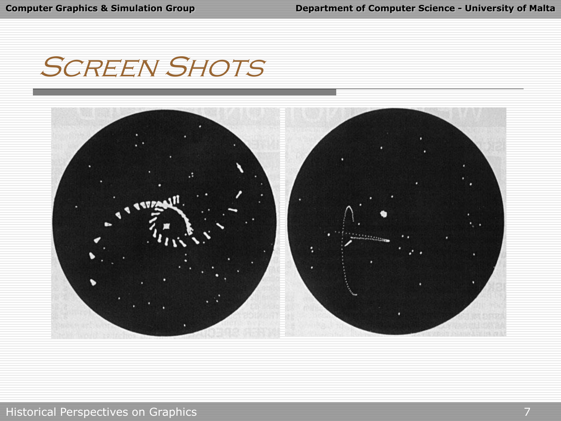### **SCREEN SHOTS**

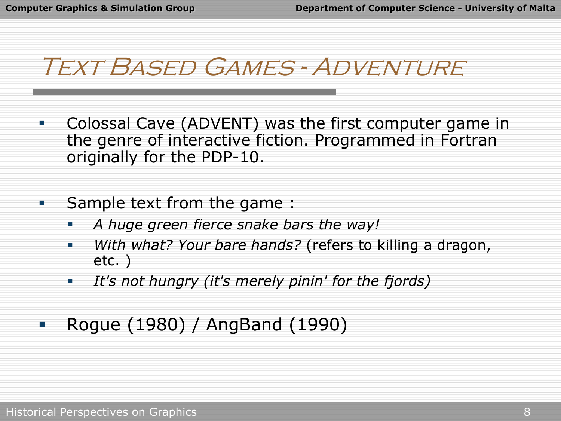### Text Based Games - Adventure

- Colossal Cave (ADVENT) was the first computer game in the genre of interactive fiction. Programmed in Fortran originally for the PDP-10.
- **Sample text from the game:** 
	- *A huge green fierce snake bars the way!*
	- *With what? Your bare hands?* (refers to killing a dragon, etc. )
	- *It's not hungry (it's merely pinin' for the fjords)*
- Rogue (1980) / AngBand (1990)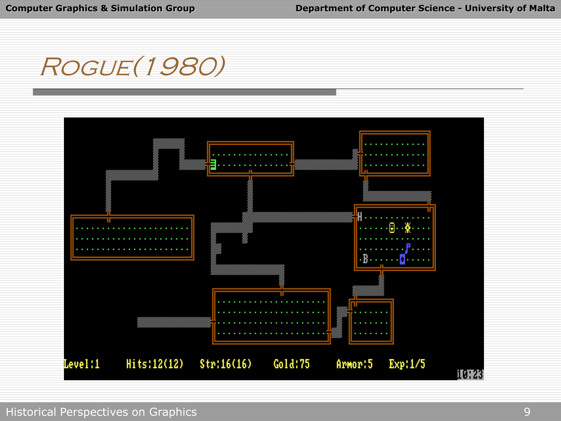

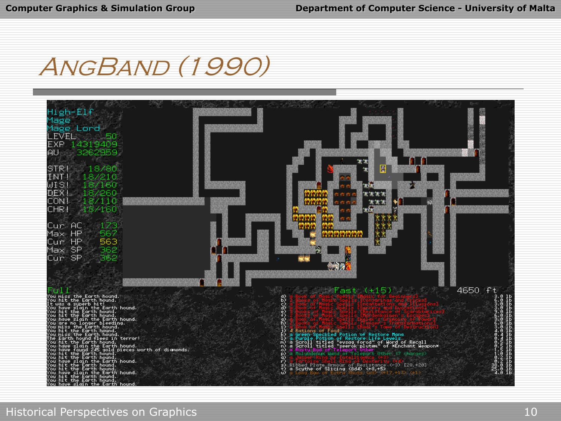### AngBand (1990)

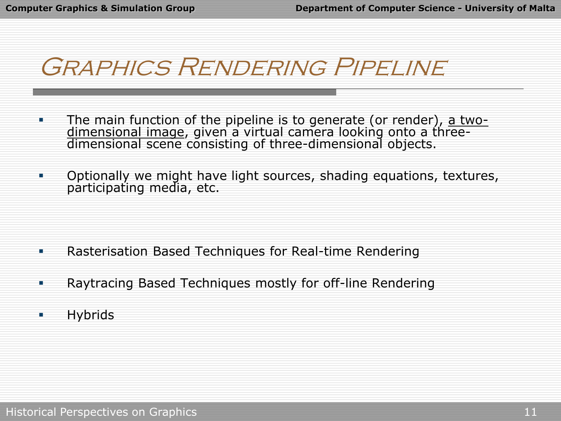### Graphics Rendering Pipeline

- The main function of the pipeline is to generate (or render), a twodimensional image, given a virtual camera looking onto a threedimensional scene consisting of three-dimensional objects.
- Optionally we might have light sources, shading equations, textures, participating media, etc.

- **Rasterisation Based Techniques for Real-time Rendering**
- Raytracing Based Techniques mostly for off-line Rendering
- **Hybrids**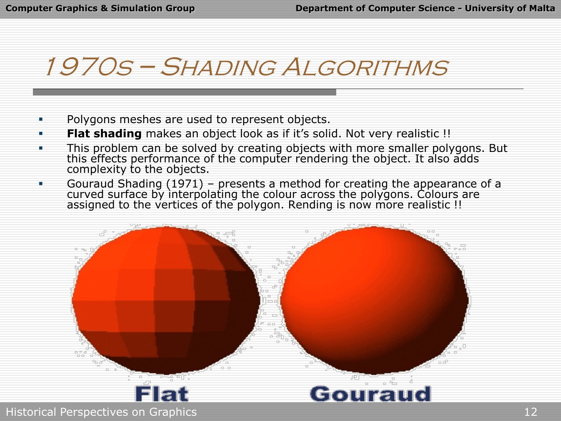### 1970s – Shading Algorithms

- **•** Polygons meshes are used to represent objects.
- **Flat shading** makes an object look as if it's solid. Not very realistic !!
- **This problem can be solved by creating objects with more smaller polygons. But** this effects performance of the computer rendering the object. It also adds complexity to the objects.
- Gouraud Shading (1971) presents a method for creating the appearance of a curved surface by interpolating the colour across the polygons. Colours are assigned to the vertices of the polygon. Rending is now more realistic !!



Elat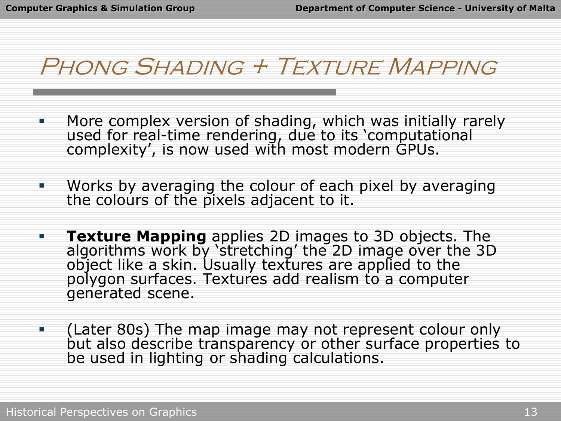#### Phong Shading + Texture Mapping

- More complex version of shading, which was initially rarely used for real-time rendering, due to its 'computational complexity', is now used with most modern GPUs.
- Works by averaging the colour of each pixel by averaging the colours of the pixels adjacent to it.
- **Texture Mapping** applies 2D images to 3D objects. The algorithms work by 'stretching' the 2D image over the 3D object like a skin. Usually textures are applied to the polygon surfaces. Textures add realism to a computer generated scene.
- (Later 80s) The map image may not represent colour only but also describe transparency or other surface properties to be used in lighting or shading calculations.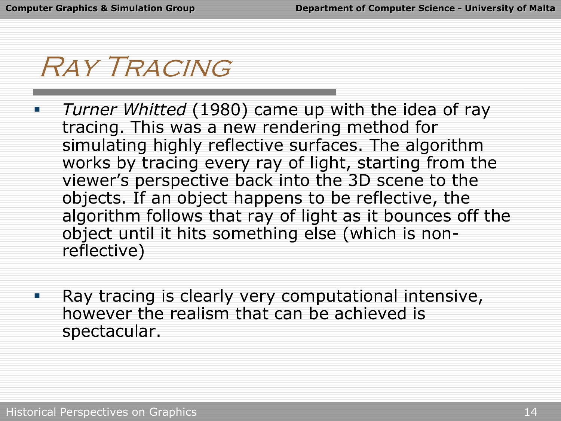### Ray Tracing

- *Turner Whitted* (1980) came up with the idea of ray tracing. This was a new rendering method for simulating highly reflective surfaces. The algorithm works by tracing every ray of light, starting from the viewer's perspective back into the 3D scene to the objects. If an object happens to be reflective, the algorithm follows that ray of light as it bounces off the object until it hits something else (which is nonreflective)
- **Ray tracing is clearly very computational intensive,** however the realism that can be achieved is spectacular.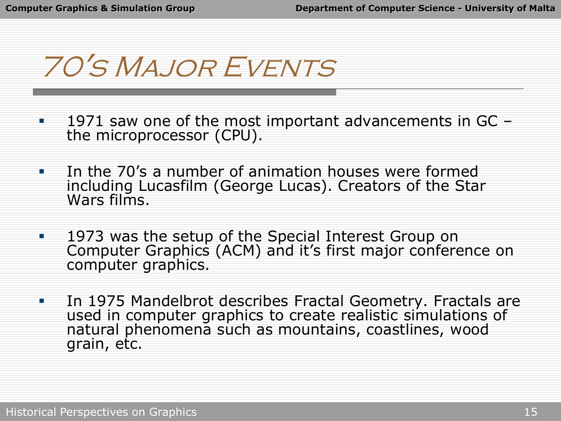70's Major Events

- 1971 saw one of the most important advancements in GC the microprocessor (CPU).
- In the 70's a number of animation houses were formed including Lucasfilm (George Lucas). Creators of the Star Wars films.
- **1973 was the setup of the Special Interest Group on** Computer Graphics (ACM) and it's first major conference on computer graphics.
- **In 1975 Mandelbrot describes Fractal Geometry. Fractals are** used in computer graphics to create realistic simulations of natural phenomena such as mountains, coastlines, wood grain, etc.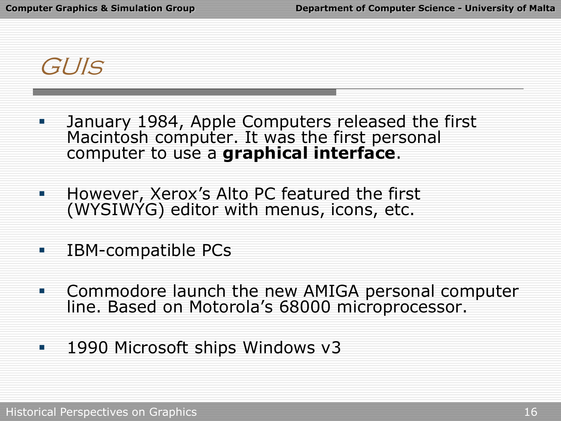GUIs

- **January 1984, Apple Computers released the first** Macintosh computer. It was the first personal computer to use a **graphical interface**.
- **However, Xerox's Alto PC featured the first** (WYSIWYG) editor with menus, icons, etc.
- **IBM-compatible PCs**
- **Commodore launch the new AMIGA personal computer** line. Based on Motorola's 68000 microprocessor.
- 1990 Microsoft ships Windows v3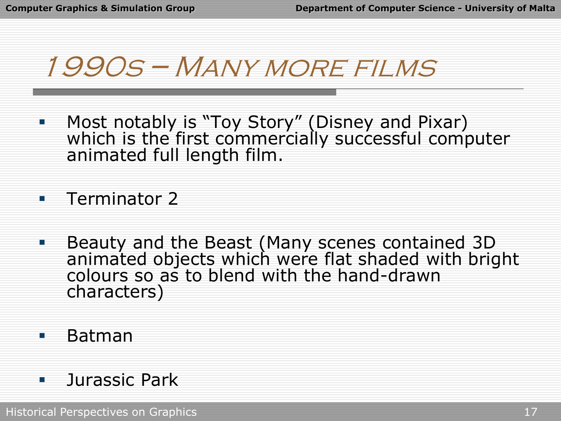## 1990s – Many more films

**• Most notably is "Toy Story" (Disney and Pixar)** which is the first commercially successful computer animated full length film.

**Terminator 2** 

**Beauty and the Beast (Many scenes contained 3D** animated objects which were flat shaded with bright colours so as to blend with the hand-drawn characters)

Batman

**L** Jurassic Park

Historical Perspectives on Graphics 17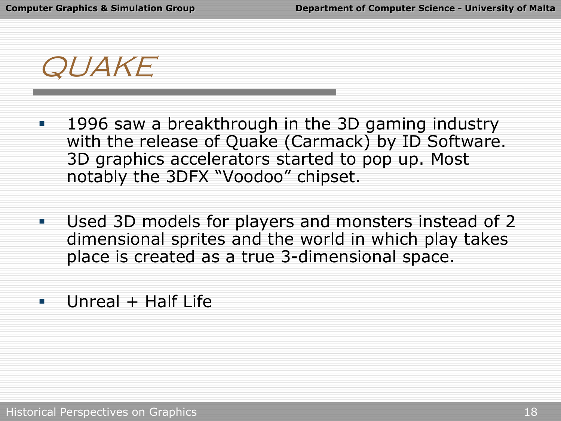QUAKE

- **1996 saw a breakthrough in the 3D gaming industry** with the release of Quake (Carmack) by ID Software. 3D graphics accelerators started to pop up. Most notably the 3DFX "Voodoo" chipset.
- Used 3D models for players and monsters instead of 2 dimensional sprites and the world in which play takes place is created as a true 3-dimensional space.
- **Unreal + Half Life**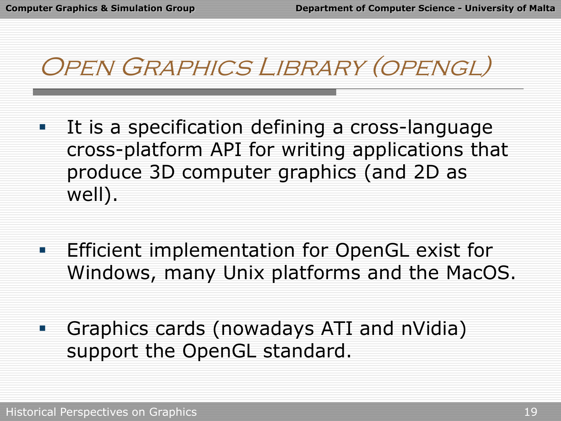### Open Graphics Library (opengl)

- **IFT It is a specification defining a cross-language** cross-platform API for writing applications that produce 3D computer graphics (and 2D as well).
- **Efficient implementation for OpenGL exist for** Windows, many Unix platforms and the MacOS.
- **Graphics cards (nowadays ATI and nVidia)** support the OpenGL standard.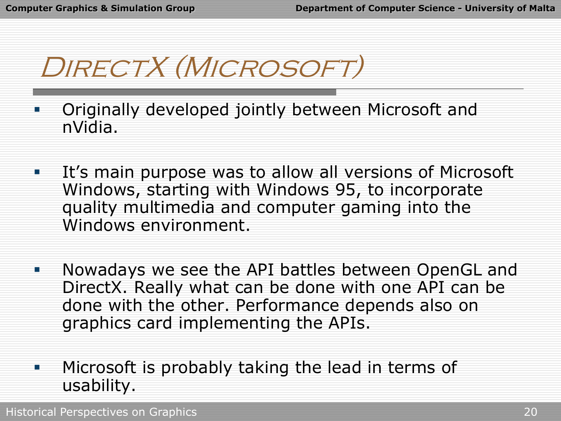DIRECTX (MICROSOFT)

- Originally developed jointly between Microsoft and nVidia.
- **It's main purpose was to allow all versions of Microsoft** Windows, starting with Windows 95, to incorporate quality multimedia and computer gaming into the Windows environment.
- **Nowadays we see the API battles between OpenGL and** DirectX. Really what can be done with one API can be done with the other. Performance depends also on graphics card implementing the APIs.
- **Microsoft is probably taking the lead in terms of** usability.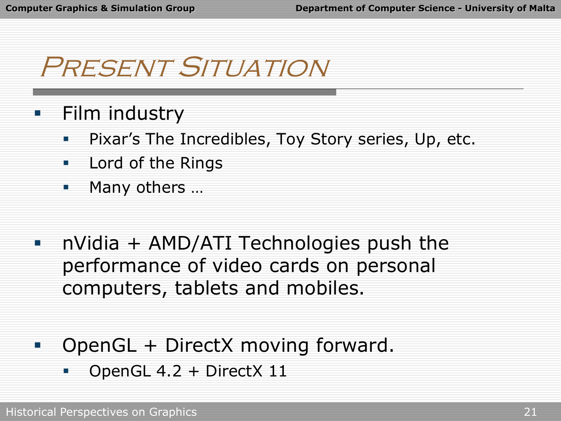### Present Situation

- Film industry
	- **Pixar's The Incredibles, Toy Story series, Up, etc.**
	- **Lord of the Rings**
	- **Many others ...**
- nVidia + AMD/ATI Technologies push the performance of video cards on personal computers, tablets and mobiles.
- **DirectX** moving forward.
	- OpenGL 4.2 + DirectX 11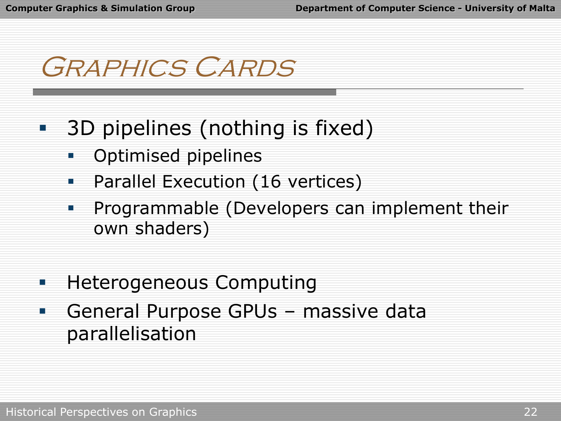## Graphics Cards

- **3D** pipelines (nothing is fixed)
	- Optimised pipelines
	- **•** Parallel Execution (16 vertices)
	- **Programmable (Developers can implement their** own shaders)
- **Heterogeneous Computing**
- General Purpose GPUs massive data parallelisation